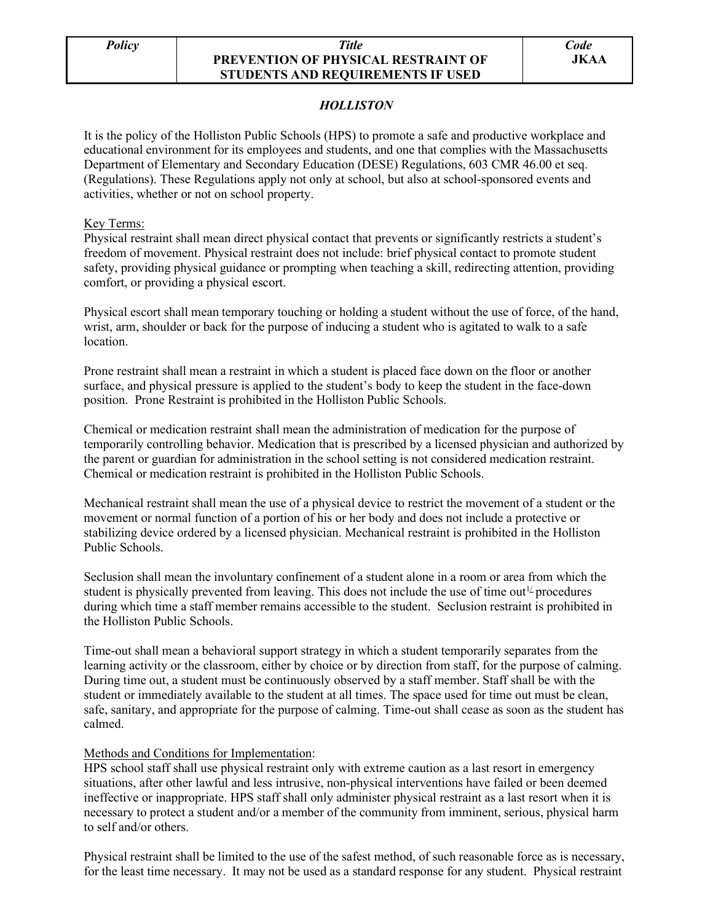## *Policy Title* **PREVENTION OF PHYSICAL RESTRAINT OF STUDENTS AND REQUIREMENTS IF USED**

# *HOLLISTON*

It is the policy of the Holliston Public Schools (HPS) to promote a safe and productive workplace and educational environment for its employees and students, and one that complies with the Massachusetts Department of Elementary and Secondary Education (DESE) Regulations, 603 CMR 46.00 et seq. (Regulations). These Regulations apply not only at school, but also at school-sponsored events and activities, whether or not on school property.

#### Key Terms:

Physical restraint shall mean direct physical contact that prevents or significantly restricts a student's freedom of movement. Physical restraint does not include: brief physical contact to promote student safety, providing physical guidance or prompting when teaching a skill, redirecting attention, providing comfort, or providing a physical escort.

Physical escort shall mean temporary touching or holding a student without the use of force, of the hand, wrist, arm, shoulder or back for the purpose of inducing a student who is agitated to walk to a safe location.

Prone restraint shall mean a restraint in which a student is placed face down on the floor or another surface, and physical pressure is applied to the student's body to keep the student in the face-down position. Prone Restraint is prohibited in the Holliston Public Schools.

Chemical or medication restraint shall mean the administration of medication for the purpose of temporarily controlling behavior. Medication that is prescribed by a licensed physician and authorized by the parent or guardian for administration in the school setting is not considered medication restraint. Chemical or medication restraint is prohibited in the Holliston Public Schools.

Mechanical restraint shall mean the use of a physical device to restrict the movement of a student or the movement or normal function of a portion of his or her body and does not include a protective or stabilizing device ordered by a licensed physician. Mechanical restraint is prohibited in the Holliston Public Schools.

Seclusion shall mean the involuntary confinement of a student alone in a room or area from which the student is physically prevented from leaving. This does not include the use of time out<sup> $1/$ </sup> procedures during which time a staff member remains accessible to the student. Seclusion restraint is prohibited in the Holliston Public Schools.

Time-out shall mean a behavioral support strategy in which a student temporarily separates from the learning activity or the classroom, either by choice or by direction from staff, for the purpose of calming. During time out, a student must be continuously observed by a staff member. Staff shall be with the student or immediately available to the student at all times. The space used for time out must be clean, safe, sanitary, and appropriate for the purpose of calming. Time-out shall cease as soon as the student has calmed.

#### Methods and Conditions for Implementation:

HPS school staff shall use physical restraint only with extreme caution as a last resort in emergency situations, after other lawful and less intrusive, non-physical interventions have failed or been deemed ineffective or inappropriate. HPS staff shall only administer physical restraint as a last resort when it is necessary to protect a student and/or a member of the community from imminent, serious, physical harm to self and/or others.

Physical restraint shall be limited to the use of the safest method, of such reasonable force as is necessary, for the least time necessary. It may not be used as a standard response for any student. Physical restraint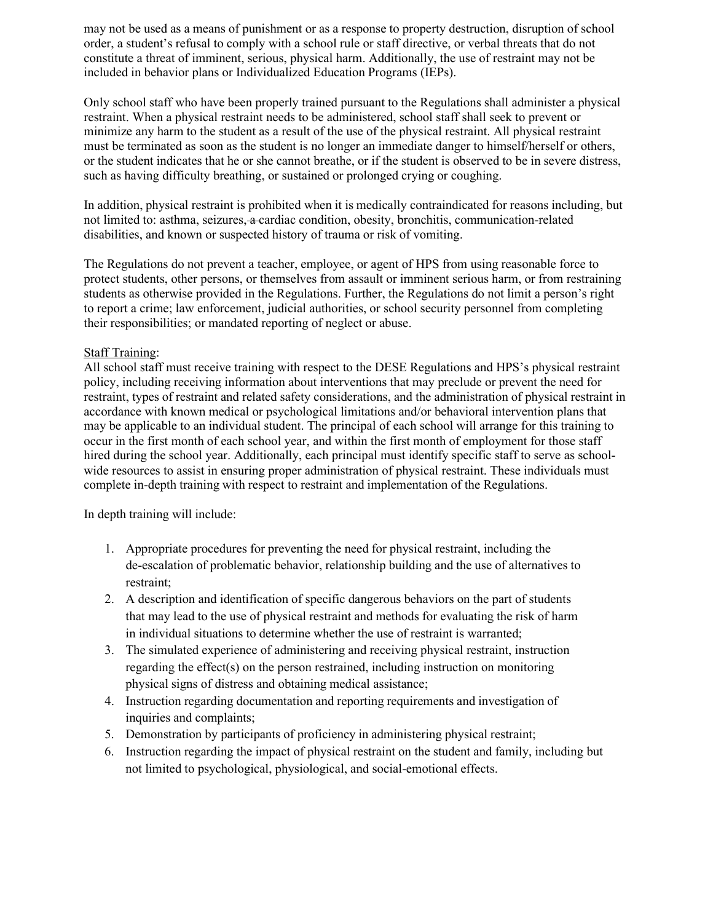may not be used as a means of punishment or as a response to property destruction, disruption of school order, a student's refusal to comply with a school rule or staff directive, or verbal threats that do not constitute a threat of imminent, serious, physical harm. Additionally, the use of restraint may not be included in behavior plans or Individualized Education Programs (IEPs).

Only school staff who have been properly trained pursuant to the Regulations shall administer a physical restraint. When a physical restraint needs to be administered, school staff shall seek to prevent or minimize any harm to the student as a result of the use of the physical restraint. All physical restraint must be terminated as soon as the student is no longer an immediate danger to himself/herself or others, or the student indicates that he or she cannot breathe, or if the student is observed to be in severe distress, such as having difficulty breathing, or sustained or prolonged crying or coughing.

In addition, physical restraint is prohibited when it is medically contraindicated for reasons including, but not limited to: asthma, seizures, a cardiac condition, obesity, bronchitis, communication-related disabilities, and known or suspected history of trauma or risk of vomiting.

The Regulations do not prevent a teacher, employee, or agent of HPS from using reasonable force to protect students, other persons, or themselves from assault or imminent serious harm, or from restraining students as otherwise provided in the Regulations. Further, the Regulations do not limit a person's right to report a crime; law enforcement, judicial authorities, or school security personnel from completing their responsibilities; or mandated reporting of neglect or abuse.

### Staff Training:

All school staff must receive training with respect to the DESE Regulations and HPS's physical restraint policy, including receiving information about interventions that may preclude or prevent the need for restraint, types of restraint and related safety considerations, and the administration of physical restraint in accordance with known medical or psychological limitations and/or behavioral intervention plans that may be applicable to an individual student. The principal of each school will arrange for this training to occur in the first month of each school year, and within the first month of employment for those staff hired during the school year. Additionally, each principal must identify specific staff to serve as schoolwide resources to assist in ensuring proper administration of physical restraint. These individuals must complete in-depth training with respect to restraint and implementation of the Regulations.

In depth training will include:

- 1. Appropriate procedures for preventing the need for physical restraint, including the de-escalation of problematic behavior, relationship building and the use of alternatives to restraint;
- 2. A description and identification of specific dangerous behaviors on the part of students that may lead to the use of physical restraint and methods for evaluating the risk of harm in individual situations to determine whether the use of restraint is warranted;
- 3. The simulated experience of administering and receiving physical restraint, instruction regarding the effect(s) on the person restrained, including instruction on monitoring physical signs of distress and obtaining medical assistance;
- 4. Instruction regarding documentation and reporting requirements and investigation of inquiries and complaints;
- 5. Demonstration by participants of proficiency in administering physical restraint;
- 6. Instruction regarding the impact of physical restraint on the student and family, including but not limited to psychological, physiological, and social-emotional effects.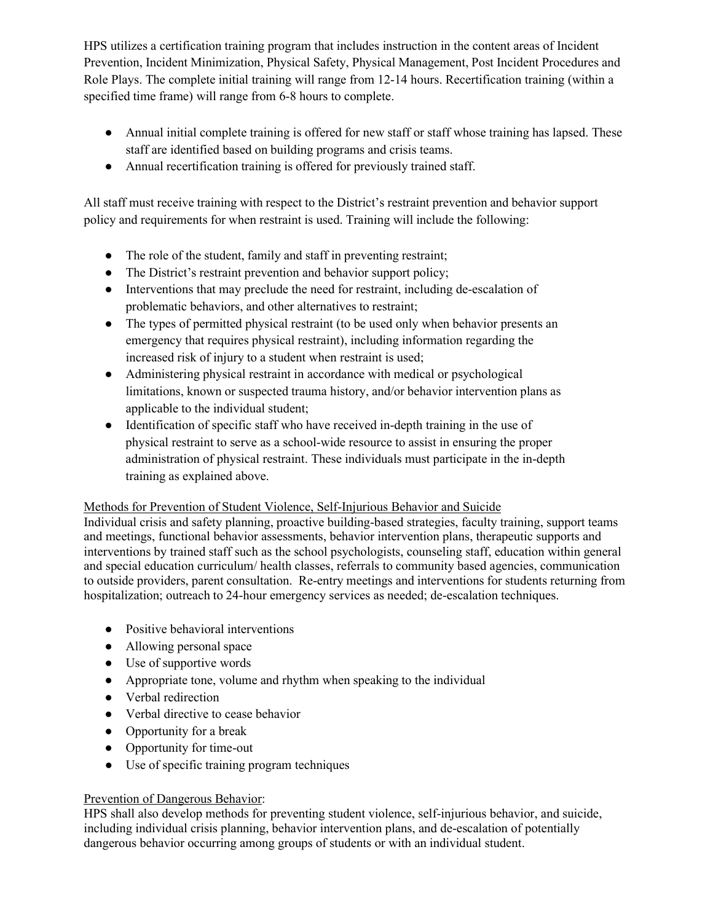HPS utilizes a certification training program that includes instruction in the content areas of Incident Prevention, Incident Minimization, Physical Safety, Physical Management, Post Incident Procedures and Role Plays. The complete initial training will range from 12-14 hours. Recertification training (within a specified time frame) will range from 6-8 hours to complete.

- Annual initial complete training is offered for new staff or staff whose training has lapsed. These staff are identified based on building programs and crisis teams.
- Annual recertification training is offered for previously trained staff.

All staff must receive training with respect to the District's restraint prevention and behavior support policy and requirements for when restraint is used. Training will include the following:

- The role of the student, family and staff in preventing restraint;
- The District's restraint prevention and behavior support policy;
- Interventions that may preclude the need for restraint, including de-escalation of problematic behaviors, and other alternatives to restraint;
- The types of permitted physical restraint (to be used only when behavior presents an emergency that requires physical restraint), including information regarding the increased risk of injury to a student when restraint is used;
- Administering physical restraint in accordance with medical or psychological limitations, known or suspected trauma history, and/or behavior intervention plans as applicable to the individual student;
- Identification of specific staff who have received in-depth training in the use of physical restraint to serve as a school-wide resource to assist in ensuring the proper administration of physical restraint. These individuals must participate in the in-depth training as explained above.

# Methods for Prevention of Student Violence, Self-Injurious Behavior and Suicide

Individual crisis and safety planning, proactive building-based strategies, faculty training, support teams and meetings, functional behavior assessments, behavior intervention plans, therapeutic supports and interventions by trained staff such as the school psychologists, counseling staff, education within general and special education curriculum/ health classes, referrals to community based agencies, communication to outside providers, parent consultation. Re-entry meetings and interventions for students returning from hospitalization; outreach to 24-hour emergency services as needed; de-escalation techniques.

- Positive behavioral interventions
- Allowing personal space
- Use of supportive words
- Appropriate tone, volume and rhythm when speaking to the individual
- Verbal redirection
- Verbal directive to cease behavior
- Opportunity for a break
- Opportunity for time-out
- Use of specific training program techniques

# Prevention of Dangerous Behavior:

HPS shall also develop methods for preventing student violence, self-injurious behavior, and suicide, including individual crisis planning, behavior intervention plans, and de-escalation of potentially dangerous behavior occurring among groups of students or with an individual student.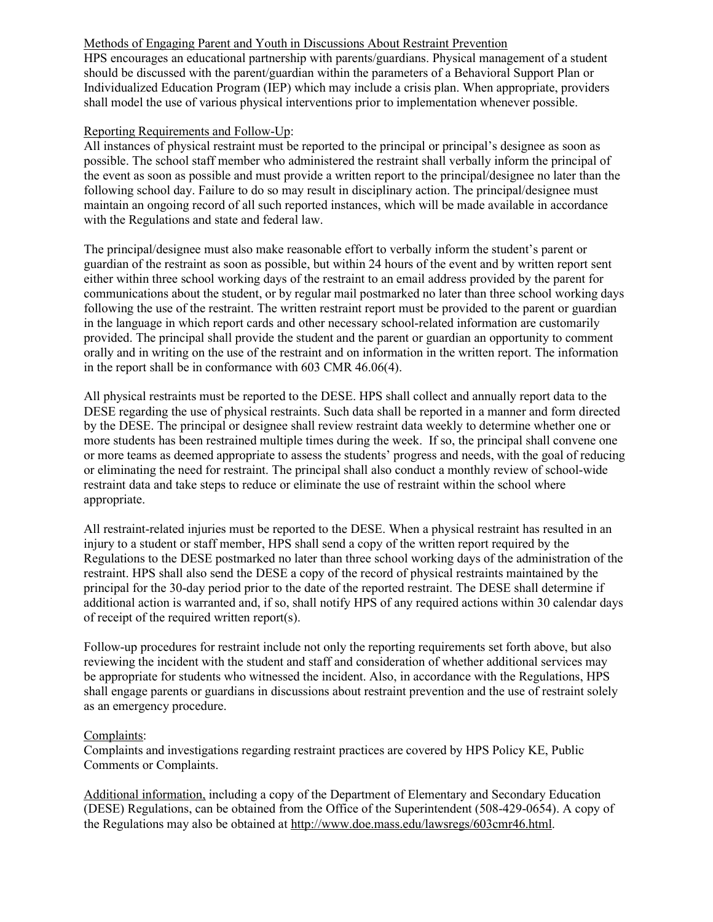### Methods of Engaging Parent and Youth in Discussions About Restraint Prevention

HPS encourages an educational partnership with parents/guardians. Physical management of a student should be discussed with the parent/guardian within the parameters of a Behavioral Support Plan or Individualized Education Program (IEP) which may include a crisis plan. When appropriate, providers shall model the use of various physical interventions prior to implementation whenever possible.

## Reporting Requirements and Follow-Up:

All instances of physical restraint must be reported to the principal or principal's designee as soon as possible. The school staff member who administered the restraint shall verbally inform the principal of the event as soon as possible and must provide a written report to the principal/designee no later than the following school day. Failure to do so may result in disciplinary action. The principal/designee must maintain an ongoing record of all such reported instances, which will be made available in accordance with the Regulations and state and federal law.

The principal/designee must also make reasonable effort to verbally inform the student's parent or guardian of the restraint as soon as possible, but within 24 hours of the event and by written report sent either within three school working days of the restraint to an email address provided by the parent for communications about the student, or by regular mail postmarked no later than three school working days following the use of the restraint. The written restraint report must be provided to the parent or guardian in the language in which report cards and other necessary school-related information are customarily provided. The principal shall provide the student and the parent or guardian an opportunity to comment orally and in writing on the use of the restraint and on information in the written report. The information in the report shall be in conformance with 603 CMR 46.06(4).

All physical restraints must be reported to the DESE. HPS shall collect and annually report data to the DESE regarding the use of physical restraints. Such data shall be reported in a manner and form directed by the DESE. The principal or designee shall review restraint data weekly to determine whether one or more students has been restrained multiple times during the week. If so, the principal shall convene one or more teams as deemed appropriate to assess the students' progress and needs, with the goal of reducing or eliminating the need for restraint. The principal shall also conduct a monthly review of school-wide restraint data and take steps to reduce or eliminate the use of restraint within the school where appropriate.

All restraint-related injuries must be reported to the DESE. When a physical restraint has resulted in an injury to a student or staff member, HPS shall send a copy of the written report required by the Regulations to the DESE postmarked no later than three school working days of the administration of the restraint. HPS shall also send the DESE a copy of the record of physical restraints maintained by the principal for the 30-day period prior to the date of the reported restraint. The DESE shall determine if additional action is warranted and, if so, shall notify HPS of any required actions within 30 calendar days of receipt of the required written report(s).

Follow-up procedures for restraint include not only the reporting requirements set forth above, but also reviewing the incident with the student and staff and consideration of whether additional services may be appropriate for students who witnessed the incident. Also, in accordance with the Regulations, HPS shall engage parents or guardians in discussions about restraint prevention and the use of restraint solely as an emergency procedure.

### Complaints:

Complaints and investigations regarding restraint practices are covered by HPS Policy KE, Public Comments or Complaints.

Additional information, including a copy of the Department of Elementary and Secondary Education (DESE) Regulations, can be obtained from the Office of the Superintendent (508-429-0654). A copy of the Regulations may also be obtained at [http://www.doe.mass.edu/lawsregs/603cmr46.html.](http://www.doe.mass.edu/lawsregs/603cmr46.html)